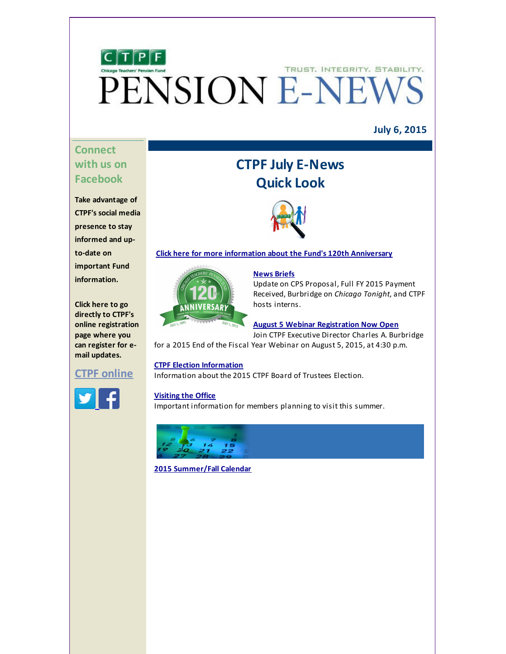

### **July 6, 2015**

# **Connect with us on Facebook**

**Take advantage of CTPF's social media presence to stay informed and upto-date on important Fund information.**

**Click here to go directly to CTPF's online registration page where you can register for email updates.**

# **CTPF [online](http://r20.rs6.net/tn.jsp?f=001Z3FfypIzxZxkwoLnKZdhgL4Z49qtFHWC-X_qwhOzJJ0D5gGRMcpIpifSSC_vAdgKLbcl453A7MC0YMud8P6QjNQ7JMBsTCOHiDFqtK-9zkEiafTbirU_Irsup_ufrGNhKH8MNUKL-FtWW6LWv_nNHuh072_HsBq7g3CWzhlGYsfbLRy8r2oSJ2xUec6uKXdibjA2yntcy48=&c=&ch=)**



# **CTPF July E-News Quick Look**



#### **Click here for more [information](#page-0-0) about the Fund's 120th Anniversary**



#### **[News](#page-1-0) Briefs**

Update on CPS Proposal, Full FY 2015 Payment Received, Burbridge on *Chicago Tonight*, and CTPF hosts interns.

#### **August 5 Webinar [Registration](#page-2-0) Now Open**

Join CTPF Executive Director Charles A. Burbridge

for a 2015 End of the Fiscal Year Webinar on August 5, 2015, at 4:30 p.m.

#### **CTPF Election [Information](#page-3-0)**

Information about the 2015 CTPF Board of Trustees Election.

#### **[Visiting](#page-3-1) the Office**

Important information for members planning to visit this summer.



<span id="page-0-0"></span>**2015 [Summer/Fall](#page-4-0) Calendar**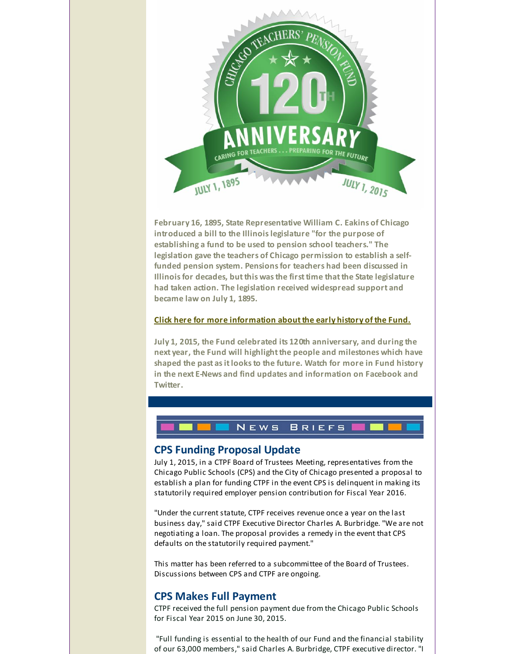

**February 16, 1895, State Representative William C. Eakins of Chicago introduced a bill to the Illinoislegislature "for the purpose of establishing a fund to be used to pension school teachers." The legislation gave the teachers of Chicago permission to establish a selffunded pension system. Pensionsfor teachers had been discussed in Illinoisfor decades, butthis wasthe firsttime thatthe State legislature had taken action. The legislation received widespread support and became law on July 1, 1895.**

#### **Click here for more [information](http://r20.rs6.net/tn.jsp?f=001Z3FfypIzxZxkwoLnKZdhgL4Z49qtFHWC-X_qwhOzJJ0D5gGRMcpIpv60eqA8NyXPzzB0GUKqmQEBqMqyXyuaTo0veHsXouhwbTX3NOEg86A1jqgEbOU-gpDBSVBZUIudW_g6EqOV928gFqjXysX6E0PrAiLZ3oBBdfrhowbJkxtC7KjYuoQcEWc14DxAk5PZhKk-z8EqG6FDVk4csHEeVWWUWwRwOHz-7pQMBqmru10a6C7QVNriqQ==&c=&ch=) aboutthe early history of the Fund.**

**July 1, 2015, the Fund celebrated its 120th anniversary, and during the next year, the Fund will highlightthe people and milestones which have shaped the past asitlooksto the future. Watch for more in Fund history in the next E-News and find updates and information on Facebook and Twitter.**

# **CPS Funding Proposal Update**

NEWS

July 1, 2015, in a CTPF Board of Trustees Meeting, representatives from the Chicago Public Schools (CPS) and the City of Chicago presented a proposal to establish a plan for funding CTPF in the event CPS is delinquent in making its statutorily required employer pension contribution for Fiscal Year 2016.

**BRIEFS** 

"Under the current statute, CTPF receives revenue once a year on the last business day," said CTPF Executive Director Charles A. Burbridge. "We are not negotiating a loan. The proposal provides a remedy in the event that CPS defaults on the statutorily required payment."

<span id="page-1-0"></span>This matter has been referred to a subcommittee of the Board of Trustees. Discussions between CPS and CTPF are ongoing.

### **CPS Makes Full Payment**

CTPF received the full pension payment due from the Chicago Public Schools for Fiscal Year 2015 on June 30, 2015.

"Full funding is essential to the health of our Fund and the financial stability of our 63,000 members," said Charles A. Burbridge, CTPF executive director. "I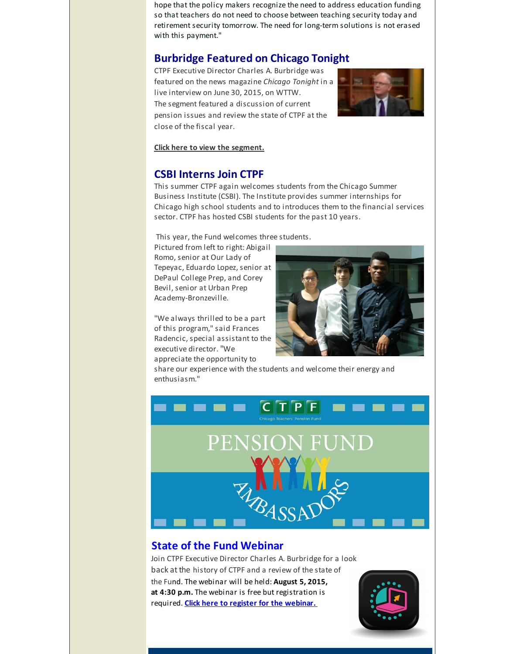hope that the policy makers recognize the need to address education funding so that teachers do not need to choose between teaching security today and retirement security tomorrow. The need for long-term solutions is not erased with this payment."

# **Burbridge Featured on Chicago Tonight**

CTPF Executive Director Charles A. Burbridge was featured on the news magazine *Chicago Tonight* in a live interview on June 30, 2015, on WTTW. The segment featured a discussion of current pension issues and review the state of CTPF at the close of the fiscal year.



**Click here to view the [segment.](http://r20.rs6.net/tn.jsp?f=001Z3FfypIzxZxkwoLnKZdhgL4Z49qtFHWC-X_qwhOzJJ0D5gGRMcpIpi3YwgvuJSnx_0gYvIByFQZsbryS7BldBTWUjWf6RKYz1rLK5cQmq-39J3yKYMPMndXQ6kYqlg226v2P3qVdVvwxNG9CAB1SvVe2BY0QELsS_FscJbMsusWIvbKyv3X0iOwS713eaQAl-aWiXt4pMEt_XH2R55dii0i0yDcL5XsK4Zllc60cAkbQV33qGPbLs43QyJF1Ngik&c=&ch=)**

# **CSBI Interns Join CTPF**

This summer CTPF again welcomes students from the Chicago Summer Business Institute (CSBI). The Institute provides summer internships for Chicago high school students and to introduces them to the financial services sector. CTPF has hosted CSBI students for the past 10 years.

This year, the Fund welcomes three students.

Pictured from left to right: Abigail Romo, senior at Our Lady of Tepeyac, Eduardo Lopez, senior at DePaul College Prep, and Corey Bevil, senior at Urban Prep Academy-Bronzeville.

"We always thrilled to be a part of this program," said Frances Radencic, special assistant to the executive director."We appreciate the opportunity to



share our experience with the students and welcome their energy and enthusiasm."



# <span id="page-2-0"></span>**State of the Fund Webinar**

Join CTPF Executive Director Charles A. Burbridge for a look back at the history of CTPF and a review of the state of the Fund. The webinar will be held: **August 5, 2015, at 4:30 p.m.** The webinar is free but registration is required. **Click here to register for the [webinar.](http://r20.rs6.net/tn.jsp?f=001Z3FfypIzxZxkwoLnKZdhgL4Z49qtFHWC-X_qwhOzJJ0D5gGRMcpIpi3YwgvuJSnx464riJRJsN2H-Zk1QYuv7ODEYRh-Zc8jCxKeHxx5CzaahqXw0h7BB_I21vldOcg7HiRnsR27-J7ikuK0IJUIp1fceieAflmOfpZ-oidKrIDyKmslTpBLgFJ5aXyUkq7HA1na1iurYyvx-L-B5xNoTzstd5lEGPyE&c=&ch=)**

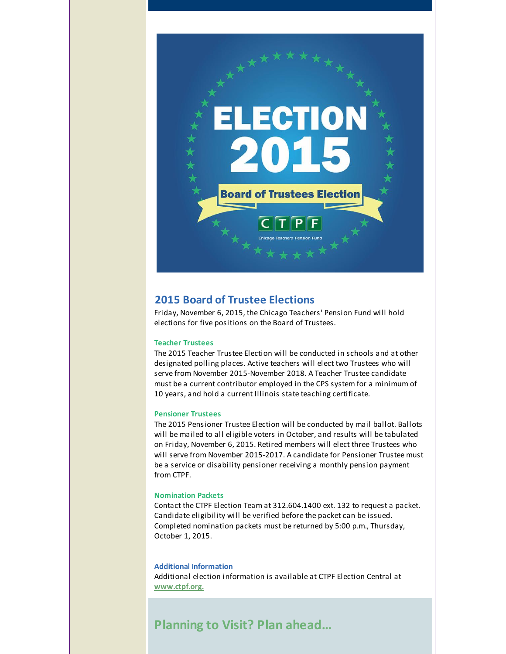

### <span id="page-3-0"></span>**2015 Board of Trustee Elections**

Friday, November 6, 2015, the Chicago Teachers' Pension Fund will hold elections for five positions on the Board of Trustees.

#### **Teacher Trustees**

The 2015 Teacher Trustee Election will be conducted in schools and at other designated polling places. Active teachers will elect two Trustees who will serve from November 2015-November 2018. A Teacher Trustee candidate must be a current contributor employed in the CPS system for a minimum of 10 years, and hold a current Illinois state teaching certificate.

#### **Pensioner Trustees**

The 2015 Pensioner Trustee Election will be conducted by mail ballot. Ballots will be mailed to all eligible voters in October, and results will be tabulated on Friday, November 6, 2015. Retired members will elect three Trustees who will serve from November 2015-2017. A candidate for Pensioner Trustee must be a service or disability pensioner receiving a monthly pension payment from CTPF.

#### **Nomination Packets**

Contact the CTPF Election Team at 312.604.1400 ext. 132 to request a packet. Candidate eligibility will be verified before the packet can be issued. Completed nomination packets must be returned by 5:00 p.m., Thursday, October 1, 2015.

#### **Additional Information**

Additional election information is available at CTPF Election Central at **[www.ctpf.org.](http://r20.rs6.net/tn.jsp?f=001Z3FfypIzxZxkwoLnKZdhgL4Z49qtFHWC-X_qwhOzJJ0D5gGRMcpIpg-l9sCqzm_mSmn1NqWSgYVJKtHweWuQvEeJktjPygopGR5v_49Nl55Yvl8oNQmT8cB3_lFyA_Vu9I7S_jRrXdY83BKDLhJhGw3dXq-A5bvcqluHUZkPfA4=&c=&ch=)**

# <span id="page-3-1"></span>**Planning to Visit? Plan ahead...**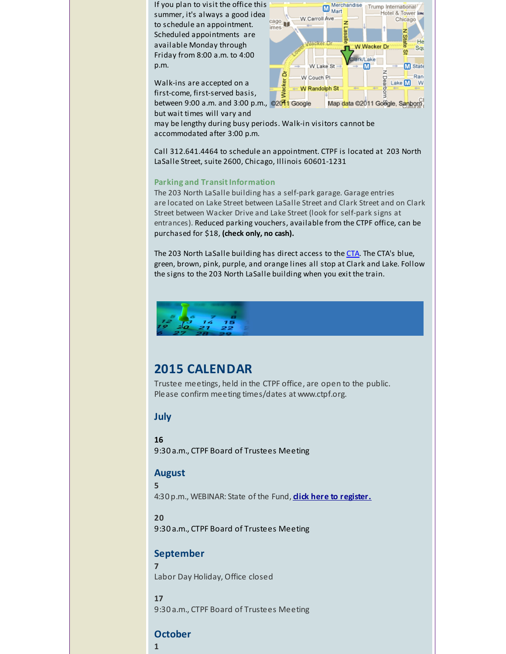If you plan to visit the office this summer, it's always a good idea to schedule an appointment. Scheduled appointments are available Monday through Friday from 8:00 a.m. to 4:00 p.m.

Merchandise Merci<br>Mart Trump International Hotel & Tower Is W. Carroll Ave Chicago  $rac{cago}{imes}$ Çΰ, He W.Wacker.D Sqt  $\Omega$ **Jerk/Lake** W Lake St  $\blacksquare$ **M** State z ă Ran W Couch Pl. Wacker Lake  $\blacksquare$  W W Randolph St Π Map data ©2011 Goegle, Sanborn,

Walk-ins are accepted on a first-come, first-served basis, between 9:00 a.m. and 3:00 p.m., @2011 Google

but wait times will vary and may be lengthy during busy periods. Walk-in visitors cannot be accommodated after 3:00 p.m.

Call 312.641.4464 to schedule an appointment. CTPF is located at 203 North LaSalle Street, suite 2600, Chicago, Illinois 60601-1231

### **Parking and Transit Information**

The 203 North LaSalle building has a self-park garage. Garage entries are located on Lake Street between LaSalle Street and Clark Street and on Clark Street between Wacker Drive and Lake Street (look for self-park signs at entrances). Reduced parking vouchers, available from the CTPF office, can be purchased for \$18, **(check only, no cash).**

The 203 North LaSalle building has direct access to the [CTA](http://r20.rs6.net/tn.jsp?f=001Z3FfypIzxZxkwoLnKZdhgL4Z49qtFHWC-X_qwhOzJJ0D5gGRMcpIpu2brKPcbmjPR17BD90vFPJ-yu6WxiAKBiQkYd_yhMlSTx3U6jPdL9k102HQQ9uei_EY7vzk1M3Q7PYI5nkOf3msWg2SmZE8-ExGKMjdPTSz37Ba0Y8PdMmQP7T1xah-0L9nPryRTCyOX6aX9xBHj80IcUpq3Irg74w0GaYAcvYgRxX1bTDpPtE=&c=&ch=). The CTA's blue, green, brown, pink, purple, and orange lines all stop at Clark and Lake. Follow the signs to the 203 North LaSalle building when you exit the train.



# <span id="page-4-0"></span>**2015 CALENDAR**

Trustee meetings, held in the CTPF office, are open to the public. Please confirm meeting times/dates at www.ctpf.org.

### **July**

### **16**

9:30 a.m., CTPF Board of Trustees Meeting

### **August**

4:30 p.m., WEBINAR: State of the Fund, **click here to [register.](http://r20.rs6.net/tn.jsp?f=001Z3FfypIzxZxkwoLnKZdhgL4Z49qtFHWC-X_qwhOzJJ0D5gGRMcpIpi3YwgvuJSnx464riJRJsN2H-Zk1QYuv7ODEYRh-Zc8jCxKeHxx5CzaahqXw0h7BB_I21vldOcg7HiRnsR27-J7ikuK0IJUIp1fceieAflmOfpZ-oidKrIDyKmslTpBLgFJ5aXyUkq7HA1na1iurYyvx-L-B5xNoTzstd5lEGPyE&c=&ch=)**

### **20**

**5**

9:30 a.m., CTPF Board of Trustees Meeting

### **September**

**7** Labor Day Holiday, Office closed

# **17** 9:30 a.m., CTPF Board of Trustees Meeting

# **October**

**1**